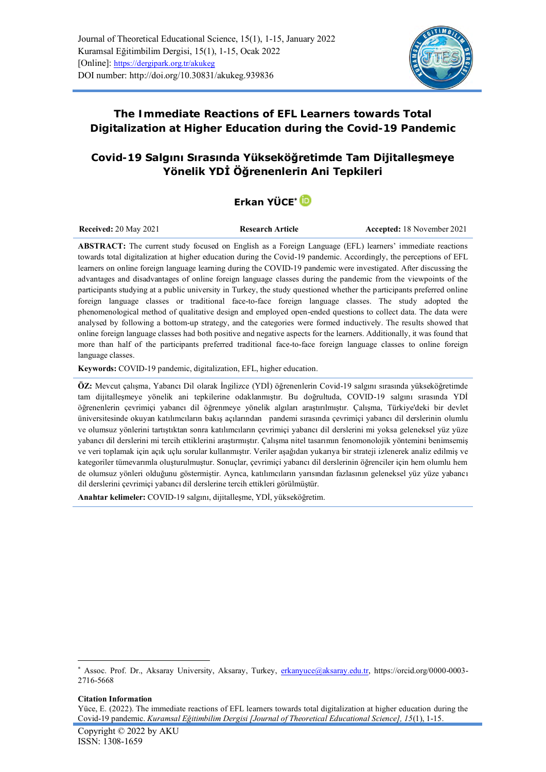

**The Immediate Reactions of EFL Learners towards Total Digitalization at Higher Education during the Covid-19 Pandemic**

# **Covid-19 Salgını Sırasında Yükseköğretimde Tam Dijitalleşmeye Yönelik YDİ Öğrenenlerin Ani Tepkileri**

# **Erkan YÜCE[\\*](https://orcid.org/0000-0003-2716-5668)**

**Received: 20 May 2021 Research Article Accepted: 18 November 2021** 

**ABSTRACT:** The current study focused on English as a Foreign Language (EFL) learners' immediate reactions towards total digitalization at higher education during the Covid-19 pandemic. Accordingly, the perceptions of EFL learners on online foreign language learning during the COVID-19 pandemic were investigated. After discussing the advantages and disadvantages of online foreign language classes during the pandemic from the viewpoints of the participants studying at a public university in Turkey, the study questioned whether the participants preferred online foreign language classes or traditional face-to-face foreign language classes. The study adopted the phenomenological method of qualitative design and employed open-ended questions to collect data. The data were analysed by following a bottom-up strategy, and the categories were formed inductively. The results showed that online foreign language classes had both positive and negative aspects for the learners. Additionally, it was found that more than half of the participants preferred traditional face-to-face foreign language classes to online foreign language classes.

**Keywords:** COVID-19 pandemic, digitalization, EFL, higher education.

**ÖZ:** Mevcut çalışma, Yabancı Dil olarak İngilizce (YDİ) öğrenenlerin Covid-19 salgını sırasında yükseköğretimde tam dijitalleşmeye yönelik ani tepkilerine odaklanmıştır. Bu doğrultuda, COVID-19 salgını sırasında YDİ öğrenenlerin çevrimiçi yabancı dil öğrenmeye yönelik algıları araştırılmıştır. Çalışma, Türkiye'deki bir devlet üniversitesinde okuyan katılımcıların bakış açılarından pandemi sırasında çevrimiçi yabancı dil derslerinin olumlu ve olumsuz yönlerini tartıştıktan sonra katılımcıların çevrimiçi yabancı dil derslerini mi yoksa geleneksel yüz yüze yabancı dil derslerini mi tercih ettiklerini araştırmıştır. Çalışma nitel tasarımın fenomonolojik yöntemini benimsemiş ve veri toplamak için açık uçlu sorular kullanmıştır. Veriler aşağıdan yukarıya bir strateji izlenerek analiz edilmiş ve kategoriler tümevarımla oluşturulmuştur. Sonuçlar, çevrimiçi yabancı dil derslerinin öğrenciler için hem olumlu hem de olumsuz yönleri olduğunu göstermiştir. Ayrıca, katılımcıların yarısından fazlasının geleneksel yüz yüze yabancı dil derslerini çevrimiçi yabancı dil derslerine tercih ettikleri görülmüştür.

**Anahtar kelimeler:** COVID-19 salgını, dijitalleşme, YDİ, yükseköğretim.

#### **Citation Information**

Yüce, E. (2022). The immediate reactions of EFL learners towards total digitalization at higher education during the Covid-19 pandemic. *Kuramsal Eğitimbilim Dergisi [Journal of Theoretical Educational Science], 15*(1), 1-15.

<sup>\*</sup> Assoc. Prof. Dr., Aksaray University, Aksaray, Turkey, [erkanyuce@aksaray.edu.tr,](mailto:erkanyuce@aksaray.edu.tr) [https://orcid.org/0000-0003-](https://orcid.org/0000-0003-2716-5668) [2716-5668](https://orcid.org/0000-0003-2716-5668)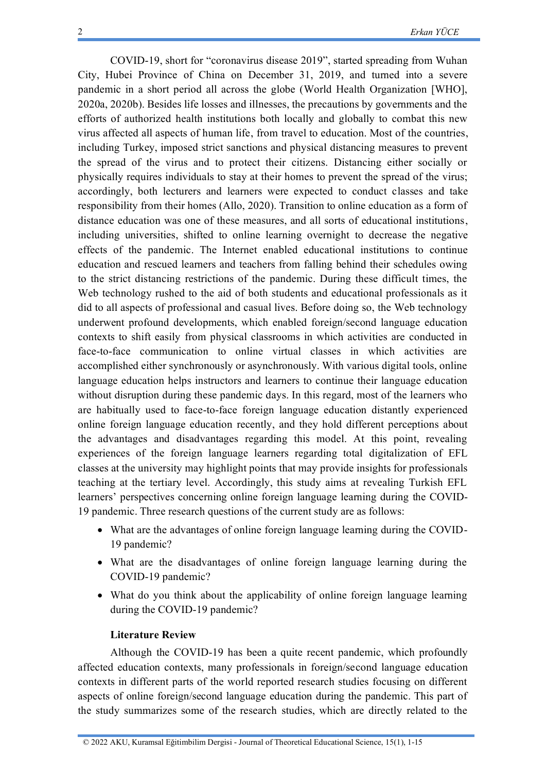COVID-19, short for "coronavirus disease 2019", started spreading from Wuhan City, Hubei Province of China on December 31, 2019, and turned into a severe pandemic in a short period all across the globe (World Health Organization [WHO], 2020a, 2020b). Besides life losses and illnesses, the precautions by governments and the efforts of authorized health institutions both locally and globally to combat this new virus affected all aspects of human life, from travel to education. Most of the countries, including Turkey, imposed strict sanctions and physical distancing measures to prevent the spread of the virus and to protect their citizens. Distancing either socially or physically requires individuals to stay at their homes to prevent the spread of the virus; accordingly, both lecturers and learners were expected to conduct classes and take responsibility from their homes (Allo, 2020). Transition to online education as a form of distance education was one of these measures, and all sorts of educational institutions, including universities, shifted to online learning overnight to decrease the negative effects of the pandemic. The Internet enabled educational institutions to continue education and rescued learners and teachers from falling behind their schedules owing to the strict distancing restrictions of the pandemic. During these difficult times, the Web technology rushed to the aid of both students and educational professionals as it did to all aspects of professional and casual lives. Before doing so, the Web technology underwent profound developments, which enabled foreign/second language education contexts to shift easily from physical classrooms in which activities are conducted in face-to-face communication to online virtual classes in which activities are accomplished either synchronously or asynchronously. With various digital tools, online language education helps instructors and learners to continue their language education without disruption during these pandemic days. In this regard, most of the learners who are habitually used to face-to-face foreign language education distantly experienced online foreign language education recently, and they hold different perceptions about the advantages and disadvantages regarding this model. At this point, revealing experiences of the foreign language learners regarding total digitalization of EFL classes at the university may highlight points that may provide insights for professionals teaching at the tertiary level. Accordingly, this study aims at revealing Turkish EFL learners' perspectives concerning online foreign language learning during the COVID-19 pandemic. Three research questions of the current study are as follows:

- What are the advantages of online foreign language learning during the COVID-19 pandemic?
- What are the disadvantages of online foreign language learning during the COVID-19 pandemic?
- What do you think about the applicability of online foreign language learning during the COVID-19 pandemic?

#### **Literature Review**

Although the COVID-19 has been a quite recent pandemic, which profoundly affected education contexts, many professionals in foreign/second language education contexts in different parts of the world reported research studies focusing on different aspects of online foreign/second language education during the pandemic. This part of the study summarizes some of the research studies, which are directly related to the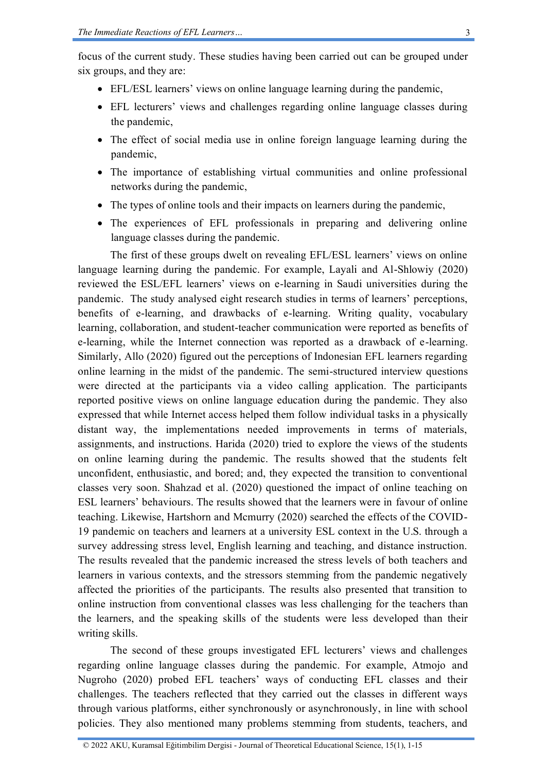focus of the current study. These studies having been carried out can be grouped under six groups, and they are:

- EFL/ESL learners' views on online language learning during the pandemic,
- EFL lecturers' views and challenges regarding online language classes during the pandemic,
- The effect of social media use in online foreign language learning during the pandemic,
- The importance of establishing virtual communities and online professional networks during the pandemic,
- The types of online tools and their impacts on learners during the pandemic,
- The experiences of EFL professionals in preparing and delivering online language classes during the pandemic.

The first of these groups dwelt on revealing EFL/ESL learners' views on online language learning during the pandemic. For example, Layali and Al-Shlowiy (2020) reviewed the ESL/EFL learners' views on e-learning in Saudi universities during the pandemic. The study analysed eight research studies in terms of learners' perceptions, benefits of e-learning, and drawbacks of e-learning. Writing quality, vocabulary learning, collaboration, and student-teacher communication were reported as benefits of e-learning, while the Internet connection was reported as a drawback of e-learning. Similarly, Allo (2020) figured out the perceptions of Indonesian EFL learners regarding online learning in the midst of the pandemic. The semi-structured interview questions were directed at the participants via a video calling application. The participants reported positive views on online language education during the pandemic. They also expressed that while Internet access helped them follow individual tasks in a physically distant way, the implementations needed improvements in terms of materials, assignments, and instructions. Harida (2020) tried to explore the views of the students on online learning during the pandemic. The results showed that the students felt unconfident, enthusiastic, and bored; and, they expected the transition to conventional classes very soon. Shahzad et al. (2020) questioned the impact of online teaching on ESL learners' behaviours. The results showed that the learners were in favour of online teaching. Likewise, Hartshorn and Mcmurry (2020) searched the effects of the COVID-19 pandemic on teachers and learners at a university ESL context in the U.S. through a survey addressing stress level, English learning and teaching, and distance instruction. The results revealed that the pandemic increased the stress levels of both teachers and learners in various contexts, and the stressors stemming from the pandemic negatively affected the priorities of the participants. The results also presented that transition to online instruction from conventional classes was less challenging for the teachers than the learners, and the speaking skills of the students were less developed than their writing skills.

The second of these groups investigated EFL lecturers' views and challenges regarding online language classes during the pandemic. For example, Atmojo and Nugroho (2020) probed EFL teachers' ways of conducting EFL classes and their challenges. The teachers reflected that they carried out the classes in different ways through various platforms, either synchronously or asynchronously, in line with school policies. They also mentioned many problems stemming from students, teachers, and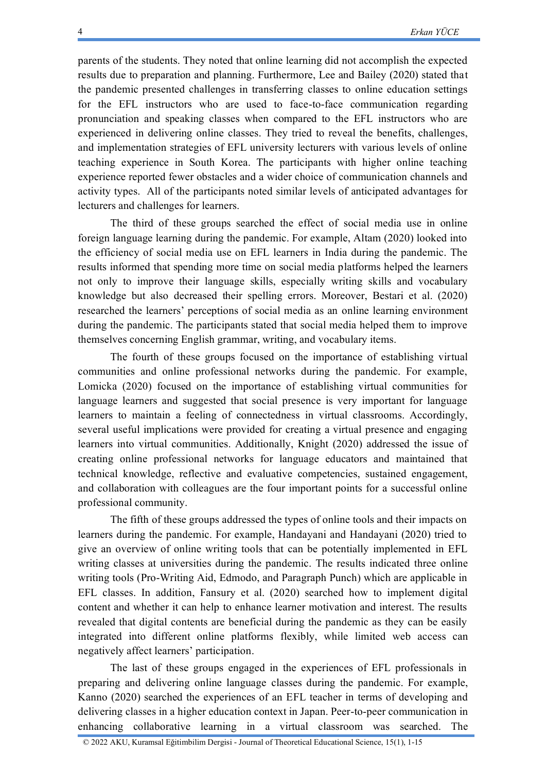parents of the students. They noted that online learning did not accomplish the expected results due to preparation and planning. Furthermore, Lee and Bailey (2020) stated that the pandemic presented challenges in transferring classes to online education settings for the EFL instructors who are used to face-to-face communication regarding pronunciation and speaking classes when compared to the EFL instructors who are experienced in delivering online classes. They tried to reveal the benefits, challenges, and implementation strategies of EFL university lecturers with various levels of online teaching experience in South Korea. The participants with higher online teaching experience reported fewer obstacles and a wider choice of communication channels and activity types. All of the participants noted similar levels of anticipated advantages for lecturers and challenges for learners.

The third of these groups searched the effect of social media use in online foreign language learning during the pandemic. For example, Altam (2020) looked into the efficiency of social media use on EFL learners in India during the pandemic. The results informed that spending more time on social media platforms helped the learners not only to improve their language skills, especially writing skills and vocabulary knowledge but also decreased their spelling errors. Moreover, Bestari et al. (2020) researched the learners' perceptions of social media as an online learning environment during the pandemic. The participants stated that social media helped them to improve themselves concerning English grammar, writing, and vocabulary items.

The fourth of these groups focused on the importance of establishing virtual communities and online professional networks during the pandemic. For example, Lomicka (2020) focused on the importance of establishing virtual communities for language learners and suggested that social presence is very important for language learners to maintain a feeling of connectedness in virtual classrooms. Accordingly, several useful implications were provided for creating a virtual presence and engaging learners into virtual communities. Additionally, Knight (2020) addressed the issue of creating online professional networks for language educators and maintained that technical knowledge, reflective and evaluative competencies, sustained engagement, and collaboration with colleagues are the four important points for a successful online professional community.

The fifth of these groups addressed the types of online tools and their impacts on learners during the pandemic. For example, Handayani and Handayani (2020) tried to give an overview of online writing tools that can be potentially implemented in EFL writing classes at universities during the pandemic. The results indicated three online writing tools (Pro-Writing Aid, Edmodo, and Paragraph Punch) which are applicable in EFL classes. In addition, Fansury et al. (2020) searched how to implement digital content and whether it can help to enhance learner motivation and interest. The results revealed that digital contents are beneficial during the pandemic as they can be easily integrated into different online platforms flexibly, while limited web access can negatively affect learners' participation.

The last of these groups engaged in the experiences of EFL professionals in preparing and delivering online language classes during the pandemic. For example, Kanno (2020) searched the experiences of an EFL teacher in terms of developing and delivering classes in a higher education context in Japan. Peer-to-peer communication in enhancing collaborative learning in a virtual classroom was searched. The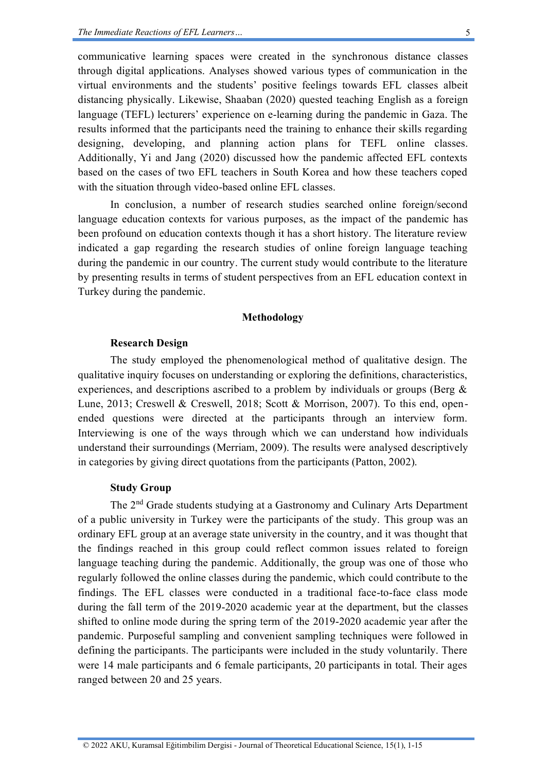communicative learning spaces were created in the synchronous distance classes through digital applications. Analyses showed various types of communication in the virtual environments and the students' positive feelings towards EFL classes albeit distancing physically. Likewise, Shaaban (2020) quested teaching English as a foreign language (TEFL) lecturers' experience on e-learning during the pandemic in Gaza. The results informed that the participants need the training to enhance their skills regarding designing, developing, and planning action plans for TEFL online classes. Additionally, Yi and Jang (2020) discussed how the pandemic affected EFL contexts based on the cases of two EFL teachers in South Korea and how these teachers coped with the situation through video-based online EFL classes.

In conclusion, a number of research studies searched online foreign/second language education contexts for various purposes, as the impact of the pandemic has been profound on education contexts though it has a short history. The literature review indicated a gap regarding the research studies of online foreign language teaching during the pandemic in our country. The current study would contribute to the literature by presenting results in terms of student perspectives from an EFL education context in Turkey during the pandemic.

## **Methodology**

### **Research Design**

The study employed the phenomenological method of qualitative design. The qualitative inquiry focuses on understanding or exploring the definitions, characteristics, experiences, and descriptions ascribed to a problem by individuals or groups (Berg & Lune, 2013; Creswell & Creswell, 2018; Scott & Morrison, 2007). To this end, openended questions were directed at the participants through an interview form. Interviewing is one of the ways through which we can understand how individuals understand their surroundings (Merriam, 2009). The results were analysed descriptively in categories by giving direct quotations from the participants (Patton, 2002).

## **Study Group**

The 2nd Grade students studying at a Gastronomy and Culinary Arts Department of a public university in Turkey were the participants of the study. This group was an ordinary EFL group at an average state university in the country, and it was thought that the findings reached in this group could reflect common issues related to foreign language teaching during the pandemic. Additionally, the group was one of those who regularly followed the online classes during the pandemic, which could contribute to the findings. The EFL classes were conducted in a traditional face-to-face class mode during the fall term of the 2019-2020 academic year at the department, but the classes shifted to online mode during the spring term of the 2019-2020 academic year after the pandemic. Purposeful sampling and convenient sampling techniques were followed in defining the participants. The participants were included in the study voluntarily. There were 14 male participants and 6 female participants, 20 participants in total. Their ages ranged between 20 and 25 years.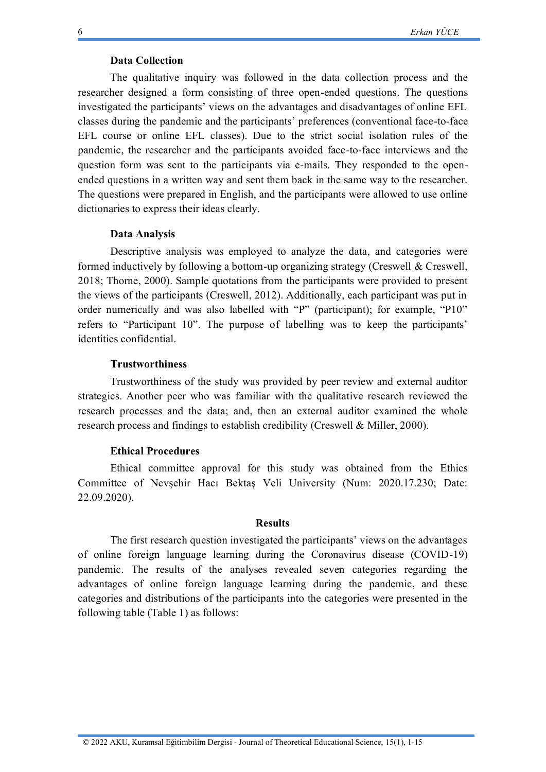### **Data Collection**

The qualitative inquiry was followed in the data collection process and the researcher designed a form consisting of three open-ended questions. The questions investigated the participants' views on the advantages and disadvantages of online EFL classes during the pandemic and the participants' preferences (conventional face-to-face EFL course or online EFL classes). Due to the strict social isolation rules of the pandemic, the researcher and the participants avoided face-to-face interviews and the question form was sent to the participants via e-mails. They responded to the openended questions in a written way and sent them back in the same way to the researcher. The questions were prepared in English, and the participants were allowed to use online dictionaries to express their ideas clearly.

#### **Data Analysis**

Descriptive analysis was employed to analyze the data, and categories were formed inductively by following a bottom-up organizing strategy (Creswell & Creswell, 2018; Thorne, 2000). Sample quotations from the participants were provided to present the views of the participants (Creswell, 2012). Additionally, each participant was put in order numerically and was also labelled with "P" (participant); for example, "P10" refers to "Participant 10". The purpose of labelling was to keep the participants' identities confidential.

#### **Trustworthiness**

Trustworthiness of the study was provided by peer review and external auditor strategies. Another peer who was familiar with the qualitative research reviewed the research processes and the data; and, then an external auditor examined the whole research process and findings to establish credibility (Creswell & Miller, 2000).

#### **Ethical Procedures**

Ethical committee approval for this study was obtained from the Ethics Committee of Nevşehir Hacı Bektaş Veli University (Num: 2020.17.230; Date: 22.09.2020).

### **Results**

The first research question investigated the participants' views on the advantages of online foreign language learning during the Coronavirus disease (COVID-19) pandemic. The results of the analyses revealed seven categories regarding the advantages of online foreign language learning during the pandemic, and these categories and distributions of the participants into the categories were presented in the following table (Table 1) as follows: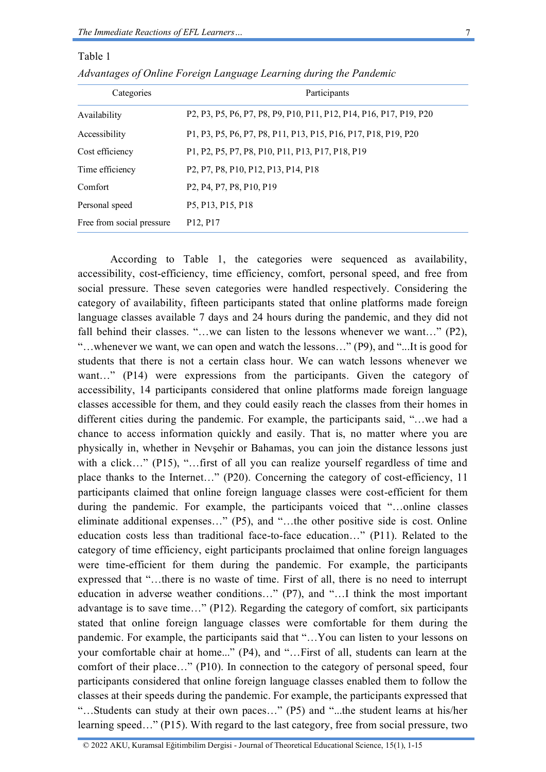Table 1

| Categories                | Participants                                                                                                                               |  |  |
|---------------------------|--------------------------------------------------------------------------------------------------------------------------------------------|--|--|
| Availability              | P2, P3, P5, P6, P7, P8, P9, P10, P11, P12, P14, P16, P17, P19, P20                                                                         |  |  |
| Accessibility             | P1, P3, P5, P6, P7, P8, P11, P13, P15, P16, P17, P18, P19, P20                                                                             |  |  |
| Cost efficiency           | P1, P2, P5, P7, P8, P10, P11, P13, P17, P18, P19                                                                                           |  |  |
| Time efficiency           | P <sub>2</sub> , P <sub>7</sub> , P <sub>8</sub> , P <sub>10</sub> , P <sub>12</sub> , P <sub>13</sub> , P <sub>14</sub> , P <sub>18</sub> |  |  |
| Comfort                   | P <sub>2</sub> , P <sub>4</sub> , P <sub>7</sub> , P <sub>8</sub> , P <sub>10</sub> , P <sub>19</sub>                                      |  |  |
| Personal speed            | P5, P13, P15, P18                                                                                                                          |  |  |
| Free from social pressure | P <sub>12</sub> , P <sub>17</sub>                                                                                                          |  |  |

| Advantages of Online Foreign Language Learning during the Pandemic |  |  |  |  |  |  |
|--------------------------------------------------------------------|--|--|--|--|--|--|
|--------------------------------------------------------------------|--|--|--|--|--|--|

According to Table 1, the categories were sequenced as availability, accessibility, cost-efficiency, time efficiency, comfort, personal speed, and free from social pressure. These seven categories were handled respectively. Considering the category of availability, fifteen participants stated that online platforms made foreign language classes available 7 days and 24 hours during the pandemic, and they did not fall behind their classes. "...we can listen to the lessons whenever we want..." (P2), "…whenever we want, we can open and watch the lessons…" (P9), and "...It is good for students that there is not a certain class hour. We can watch lessons whenever we want..." (P14) were expressions from the participants. Given the category of accessibility, 14 participants considered that online platforms made foreign language classes accessible for them, and they could easily reach the classes from their homes in different cities during the pandemic. For example, the participants said, "…we had a chance to access information quickly and easily. That is, no matter where you are physically in, whether in Nevşehir or Bahamas, you can join the distance lessons just with a click…" (P15), "…first of all you can realize yourself regardless of time and place thanks to the Internet…" (P20). Concerning the category of cost-efficiency, 11 participants claimed that online foreign language classes were cost-efficient for them during the pandemic. For example, the participants voiced that "…online classes eliminate additional expenses…" (P5), and "…the other positive side is cost. Online education costs less than traditional face-to-face education…" (P11). Related to the category of time efficiency, eight participants proclaimed that online foreign languages were time-efficient for them during the pandemic. For example, the participants expressed that "…there is no waste of time. First of all, there is no need to interrupt education in adverse weather conditions…" (P7), and "…I think the most important advantage is to save time…" (P12). Regarding the category of comfort, six participants stated that online foreign language classes were comfortable for them during the pandemic. For example, the participants said that "…You can listen to your lessons on your comfortable chair at home..." (P4), and "…First of all, students can learn at the comfort of their place…" (P10). In connection to the category of personal speed, four participants considered that online foreign language classes enabled them to follow the classes at their speeds during the pandemic. For example, the participants expressed that "…Students can study at their own paces…" (P5) and "...the student learns at his/her learning speed…" (P15). With regard to the last category, free from social pressure, two

© 2022 AKU, Kuramsal Eğitimbilim Dergisi - Journal of Theoretical Educational Science, 15(1), 1-15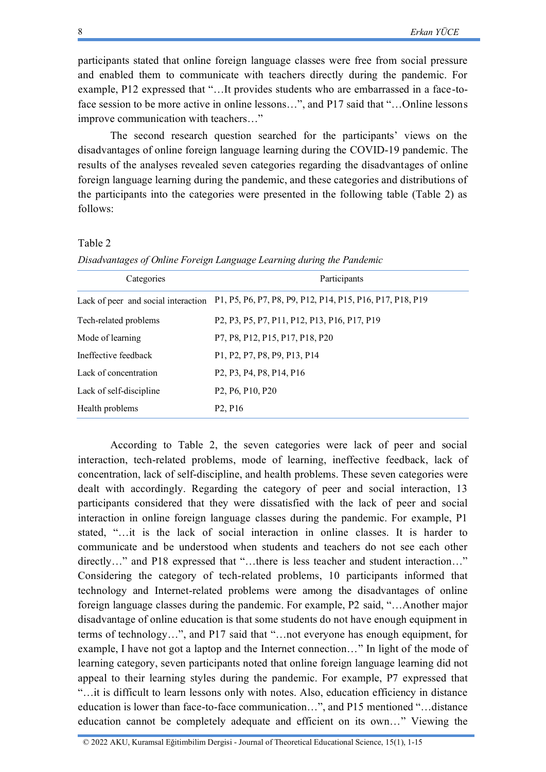participants stated that online foreign language classes were free from social pressure and enabled them to communicate with teachers directly during the pandemic. For example, P12 expressed that "…It provides students who are embarrassed in a face-toface session to be more active in online lessons...", and P17 said that "...Online lessons improve communication with teachers…"

The second research question searched for the participants' views on the disadvantages of online foreign language learning during the COVID-19 pandemic. The results of the analyses revealed seven categories regarding the disadvantages of online foreign language learning during the pandemic, and these categories and distributions of the participants into the categories were presented in the following table (Table 2) as follows:

#### Table 2

*Disadvantages of Online Foreign Language Learning during the Pandemic*

| Categories                          | Participants                                                                                                                                                                  |  |  |  |
|-------------------------------------|-------------------------------------------------------------------------------------------------------------------------------------------------------------------------------|--|--|--|
| Lack of peer and social interaction | P1, P5, P6, P7, P8, P9, P12, P14, P15, P16, P17, P18, P19                                                                                                                     |  |  |  |
| Tech-related problems               | P <sub>2</sub> , P <sub>3</sub> , P <sub>5</sub> , P <sub>7</sub> , P <sub>11</sub> , P <sub>12</sub> , P <sub>13</sub> , P <sub>16</sub> , P <sub>17</sub> , P <sub>19</sub> |  |  |  |
| Mode of learning                    | P7, P8, P12, P15, P17, P18, P20                                                                                                                                               |  |  |  |
| Ineffective feedback                | P1, P2, P7, P8, P9, P13, P14                                                                                                                                                  |  |  |  |
| Lack of concentration               | P <sub>2</sub> , P <sub>3</sub> , P <sub>4</sub> , P <sub>8</sub> , P <sub>14</sub> , P <sub>16</sub>                                                                         |  |  |  |
| Lack of self-discipline             | P <sub>2</sub> , P <sub>6</sub> , P <sub>10</sub> , P <sub>20</sub>                                                                                                           |  |  |  |
| Health problems                     | P <sub>2</sub> , P <sub>16</sub>                                                                                                                                              |  |  |  |

According to Table 2, the seven categories were lack of peer and social interaction, tech-related problems, mode of learning, ineffective feedback, lack of concentration, lack of self-discipline, and health problems. These seven categories were dealt with accordingly. Regarding the category of peer and social interaction, 13 participants considered that they were dissatisfied with the lack of peer and social interaction in online foreign language classes during the pandemic. For example, P1 stated, "…it is the lack of social interaction in online classes. It is harder to communicate and be understood when students and teachers do not see each other directly…" and P18 expressed that "...there is less teacher and student interaction..." Considering the category of tech-related problems, 10 participants informed that technology and Internet-related problems were among the disadvantages of online foreign language classes during the pandemic. For example, P2 said, "…Another major disadvantage of online education is that some students do not have enough equipment in terms of technology…", and P17 said that "…not everyone has enough equipment, for example, I have not got a laptop and the Internet connection…" In light of the mode of learning category, seven participants noted that online foreign language learning did not appeal to their learning styles during the pandemic. For example, P7 expressed that "…it is difficult to learn lessons only with notes. Also, education efficiency in distance education is lower than face-to-face communication…", and P15 mentioned "…distance education cannot be completely adequate and efficient on its own…" Viewing the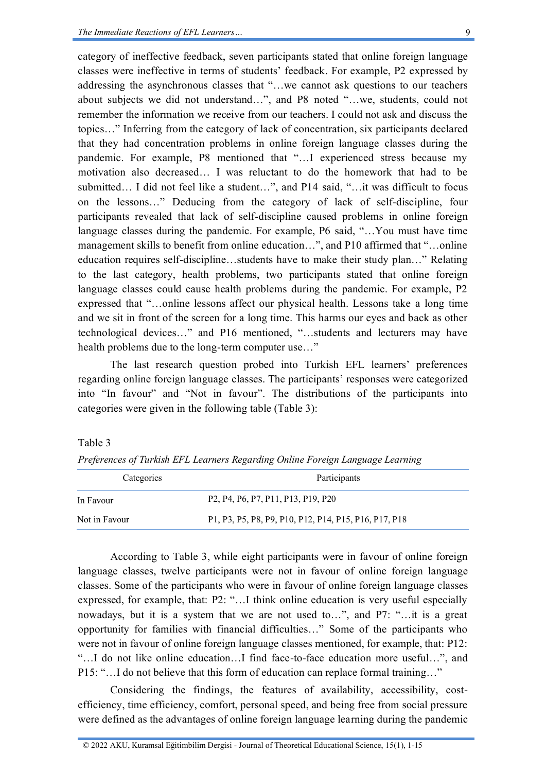category of ineffective feedback, seven participants stated that online foreign language classes were ineffective in terms of students' feedback. For example, P2 expressed by addressing the asynchronous classes that "…we cannot ask questions to our teachers about subjects we did not understand…", and P8 noted "…we, students, could not remember the information we receive from our teachers. I could not ask and discuss the topics…" Inferring from the category of lack of concentration, six participants declared that they had concentration problems in online foreign language classes during the pandemic. For example, P8 mentioned that "…I experienced stress because my motivation also decreased… I was reluctant to do the homework that had to be submitted… I did not feel like a student…", and P14 said, "…it was difficult to focus on the lessons…" Deducing from the category of lack of self-discipline, four participants revealed that lack of self-discipline caused problems in online foreign language classes during the pandemic. For example, P6 said, "…You must have time management skills to benefit from online education…", and P10 affirmed that "…online education requires self-discipline…students have to make their study plan…" Relating to the last category, health problems, two participants stated that online foreign language classes could cause health problems during the pandemic. For example, P2 expressed that "…online lessons affect our physical health. Lessons take a long time and we sit in front of the screen for a long time. This harms our eyes and back as other technological devices…" and P16 mentioned, "…students and lecturers may have health problems due to the long-term computer use…"

The last research question probed into Turkish EFL learners' preferences regarding online foreign language classes. The participants' responses were categorized into "In favour" and "Not in favour". The distributions of the participants into categories were given in the following table (Table 3):

#### Table 3

|  | Preferences of Turkish EFL Learners Regarding Online Foreign Language Learning |  |  |  |
|--|--------------------------------------------------------------------------------|--|--|--|
|  |                                                                                |  |  |  |
|  |                                                                                |  |  |  |

| Categories    | Participants                                                                                                                              |  |  |  |
|---------------|-------------------------------------------------------------------------------------------------------------------------------------------|--|--|--|
| In Favour     | P <sub>2</sub> , P <sub>4</sub> , P <sub>6</sub> , P <sub>7</sub> , P <sub>11</sub> , P <sub>13</sub> , P <sub>19</sub> , P <sub>20</sub> |  |  |  |
| Not in Favour | P1, P3, P5, P8, P9, P10, P12, P14, P15, P16, P17, P18                                                                                     |  |  |  |

According to Table 3, while eight participants were in favour of online foreign language classes, twelve participants were not in favour of online foreign language classes. Some of the participants who were in favour of online foreign language classes expressed, for example, that: P2: "…I think online education is very useful especially nowadays, but it is a system that we are not used to…", and P7: "…it is a great opportunity for families with financial difficulties…" Some of the participants who were not in favour of online foreign language classes mentioned, for example, that: P12: "…I do not like online education…I find face-to-face education more useful…", and P15: "…I do not believe that this form of education can replace formal training…"

Considering the findings, the features of availability, accessibility, costefficiency, time efficiency, comfort, personal speed, and being free from social pressure were defined as the advantages of online foreign language learning during the pandemic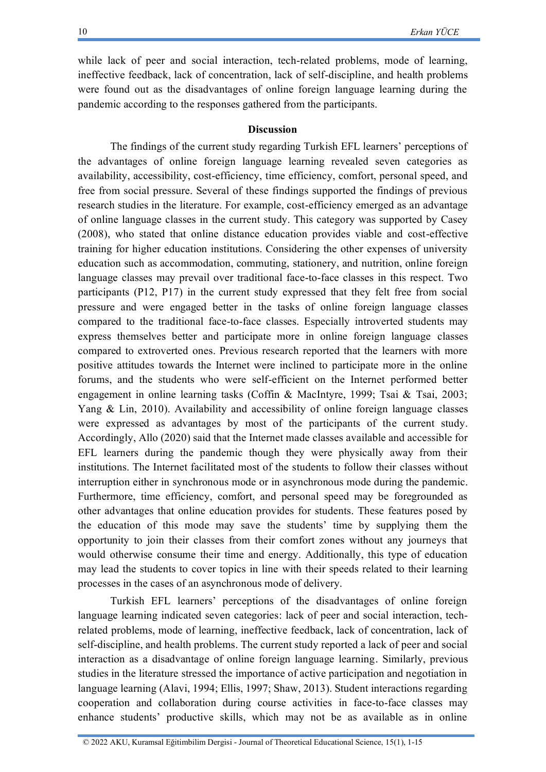while lack of peer and social interaction, tech-related problems, mode of learning, ineffective feedback, lack of concentration, lack of self-discipline, and health problems were found out as the disadvantages of online foreign language learning during the pandemic according to the responses gathered from the participants.

## **Discussion**

The findings of the current study regarding Turkish EFL learners' perceptions of the advantages of online foreign language learning revealed seven categories as availability, accessibility, cost-efficiency, time efficiency, comfort, personal speed, and free from social pressure. Several of these findings supported the findings of previous research studies in the literature. For example, cost-efficiency emerged as an advantage of online language classes in the current study. This category was supported by Casey (2008), who stated that online distance education provides viable and cost-effective training for higher education institutions. Considering the other expenses of university education such as accommodation, commuting, stationery, and nutrition, online foreign language classes may prevail over traditional face-to-face classes in this respect. Two participants (P12, P17) in the current study expressed that they felt free from social pressure and were engaged better in the tasks of online foreign language classes compared to the traditional face-to-face classes. Especially introverted students may express themselves better and participate more in online foreign language classes compared to extroverted ones. Previous research reported that the learners with more positive attitudes towards the Internet were inclined to participate more in the online forums, and the students who were self-efficient on the Internet performed better engagement in online learning tasks (Coffin & MacIntyre, 1999; Tsai & Tsai, 2003; Yang & Lin, 2010). Availability and accessibility of online foreign language classes were expressed as advantages by most of the participants of the current study. Accordingly, Allo (2020) said that the Internet made classes available and accessible for EFL learners during the pandemic though they were physically away from their institutions. The Internet facilitated most of the students to follow their classes without interruption either in synchronous mode or in asynchronous mode during the pandemic. Furthermore, time efficiency, comfort, and personal speed may be foregrounded as other advantages that online education provides for students. These features posed by the education of this mode may save the students' time by supplying them the opportunity to join their classes from their comfort zones without any journeys that would otherwise consume their time and energy. Additionally, this type of education may lead the students to cover topics in line with their speeds related to their learning processes in the cases of an asynchronous mode of delivery.

Turkish EFL learners' perceptions of the disadvantages of online foreign language learning indicated seven categories: lack of peer and social interaction, techrelated problems, mode of learning, ineffective feedback, lack of concentration, lack of self-discipline, and health problems. The current study reported a lack of peer and social interaction as a disadvantage of online foreign language learning. Similarly, previous studies in the literature stressed the importance of active participation and negotiation in language learning (Alavi, 1994; Ellis, 1997; Shaw, 2013). Student interactions regarding cooperation and collaboration during course activities in face-to-face classes may enhance students' productive skills, which may not be as available as in online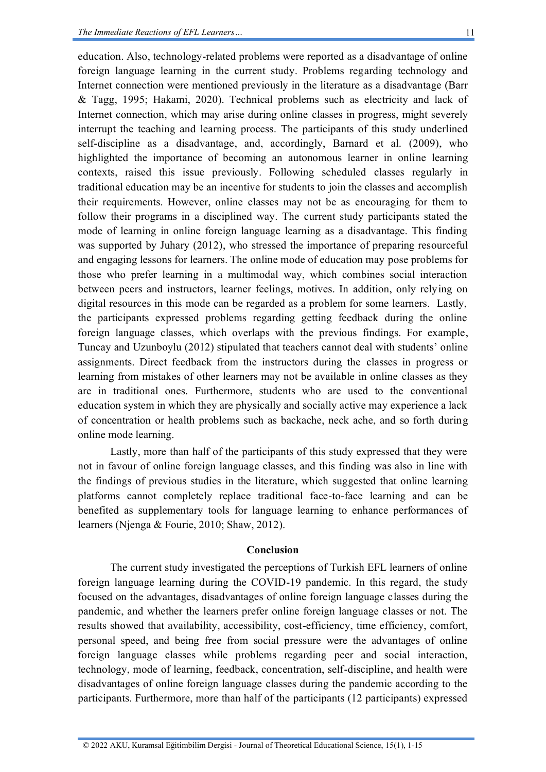education. Also, technology-related problems were reported as a disadvantage of online foreign language learning in the current study. Problems regarding technology and Internet connection were mentioned previously in the literature as a disadvantage (Barr & Tagg, 1995; Hakami, 2020). Technical problems such as electricity and lack of Internet connection, which may arise during online classes in progress, might severely interrupt the teaching and learning process. The participants of this study underlined self-discipline as a disadvantage, and, accordingly, Barnard et al. (2009), who highlighted the importance of becoming an autonomous learner in online learning contexts, raised this issue previously. Following scheduled classes regularly in traditional education may be an incentive for students to join the classes and accomplish their requirements. However, online classes may not be as encouraging for them to follow their programs in a disciplined way. The current study participants stated the mode of learning in online foreign language learning as a disadvantage. This finding was supported by Juhary (2012), who stressed the importance of preparing resourceful and engaging lessons for learners. The online mode of education may pose problems for those who prefer learning in a multimodal way, which combines social interaction between peers and instructors, learner feelings, motives. In addition, only relying on digital resources in this mode can be regarded as a problem for some learners. Lastly, the participants expressed problems regarding getting feedback during the online foreign language classes, which overlaps with the previous findings. For example, Tuncay and Uzunboylu (2012) stipulated that teachers cannot deal with students' online assignments. Direct feedback from the instructors during the classes in progress or learning from mistakes of other learners may not be available in online classes as they are in traditional ones. Furthermore, students who are used to the conventional education system in which they are physically and socially active may experience a lack of concentration or health problems such as backache, neck ache, and so forth during online mode learning.

Lastly, more than half of the participants of this study expressed that they were not in favour of online foreign language classes, and this finding was also in line with the findings of previous studies in the literature, which suggested that online learning platforms cannot completely replace traditional face-to-face learning and can be benefited as supplementary tools for language learning to enhance performances of learners (Njenga & Fourie, 2010; Shaw, 2012).

### **Conclusion**

The current study investigated the perceptions of Turkish EFL learners of online foreign language learning during the COVID-19 pandemic. In this regard, the study focused on the advantages, disadvantages of online foreign language classes during the pandemic, and whether the learners prefer online foreign language classes or not. The results showed that availability, accessibility, cost-efficiency, time efficiency, comfort, personal speed, and being free from social pressure were the advantages of online foreign language classes while problems regarding peer and social interaction, technology, mode of learning, feedback, concentration, self-discipline, and health were disadvantages of online foreign language classes during the pandemic according to the participants. Furthermore, more than half of the participants (12 participants) expressed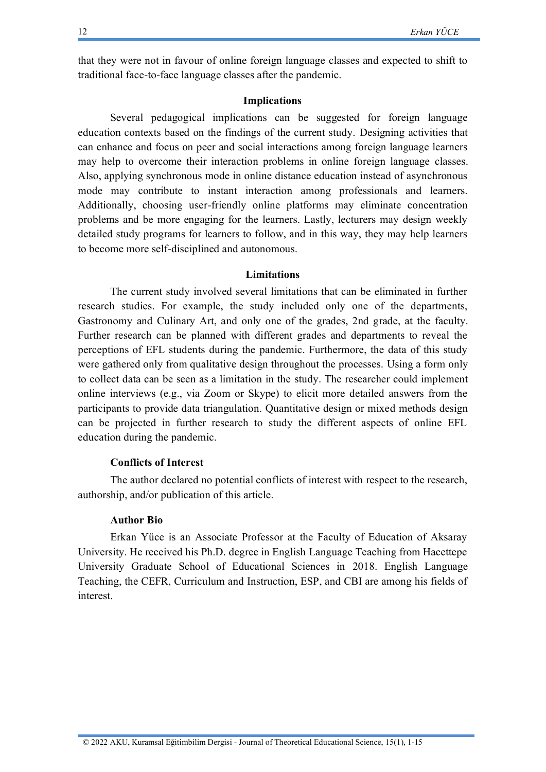that they were not in favour of online foreign language classes and expected to shift to traditional face-to-face language classes after the pandemic.

#### **Implications**

Several pedagogical implications can be suggested for foreign language education contexts based on the findings of the current study. Designing activities that can enhance and focus on peer and social interactions among foreign language learners may help to overcome their interaction problems in online foreign language classes. Also, applying synchronous mode in online distance education instead of asynchronous mode may contribute to instant interaction among professionals and learners. Additionally, choosing user-friendly online platforms may eliminate concentration problems and be more engaging for the learners. Lastly, lecturers may design weekly detailed study programs for learners to follow, and in this way, they may help learners to become more self-disciplined and autonomous.

#### **Limitations**

The current study involved several limitations that can be eliminated in further research studies. For example, the study included only one of the departments, Gastronomy and Culinary Art, and only one of the grades, 2nd grade, at the faculty. Further research can be planned with different grades and departments to reveal the perceptions of EFL students during the pandemic. Furthermore, the data of this study were gathered only from qualitative design throughout the processes. Using a form only to collect data can be seen as a limitation in the study. The researcher could implement online interviews (e.g., via Zoom or Skype) to elicit more detailed answers from the participants to provide data triangulation. Quantitative design or mixed methods design can be projected in further research to study the different aspects of online EFL education during the pandemic.

#### **Conflicts of Interest**

The author declared no potential conflicts of interest with respect to the research, authorship, and/or publication of this article.

#### **Author Bio**

Erkan Yüce is an Associate Professor at the Faculty of Education of Aksaray University. He received his Ph.D. degree in English Language Teaching from Hacettepe University Graduate School of Educational Sciences in 2018. English Language Teaching, the CEFR, Curriculum and Instruction, ESP, and CBI are among his fields of interest.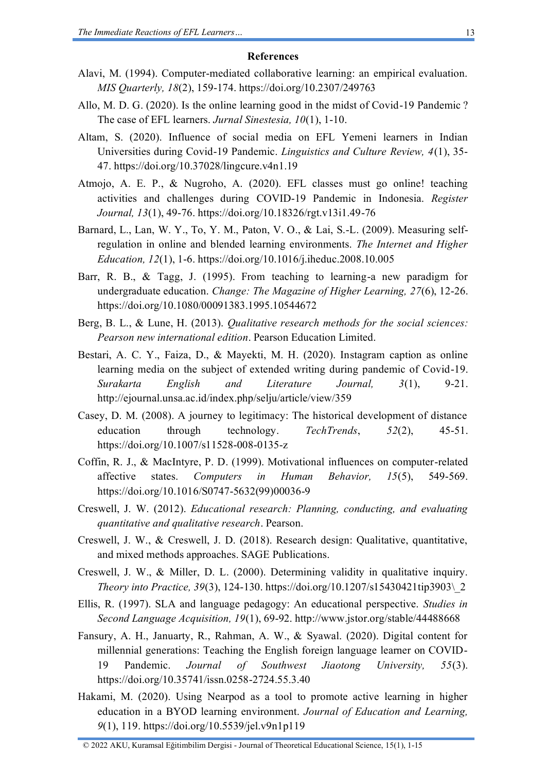#### **References**

- Alavi, M. (1994). Computer-mediated collaborative learning: an empirical evaluation. *MIS Quarterly, 18*(2), 159-174.<https://doi.org/10.2307/249763>
- Allo, M. D. G. (2020). Is the online learning good in the midst of Covid-19 Pandemic ? The case of EFL learners. *Jurnal Sinestesia, 10*(1), 1-10.
- Altam, S. (2020). Influence of social media on EFL Yemeni learners in Indian Universities during Covid-19 Pandemic. *Linguistics and Culture Review, 4*(1), 35- 47.<https://doi.org/10.37028/lingcure.v4n1.19>
- Atmojo, A. E. P., & Nugroho, A. (2020). EFL classes must go online! teaching activities and challenges during COVID-19 Pandemic in Indonesia. *Register Journal, 13*(1), 49-76.<https://doi.org/10.18326/rgt.v13i1.49-76>
- Barnard, L., Lan, W. Y., To, Y. M., Paton, V. O., & Lai, S.-L. (2009). Measuring selfregulation in online and blended learning environments. *The Internet and Higher Education, 12*(1), 1-6. [https://doi.org/10.1016/j.iheduc.2008.10.005](https://doi.org/https:/doi.org/10.1016/j.iheduc.2008.10.005)
- Barr, R. B., & Tagg, J. (1995). From teaching to learning-a new paradigm for undergraduate education. *Change: The Magazine of Higher Learning, 27*(6), 12-26. <https://doi.org/10.1080/00091383.1995.10544672>
- Berg, B. L., & Lune, H. (2013). *Qualitative research methods for the social sciences: Pearson new international edition*. Pearson Education Limited.
- Bestari, A. C. Y., Faiza, D., & Mayekti, M. H. (2020). Instagram caption as online learning media on the subject of extended writing during pandemic of Covid-19. *Surakarta English and Literature Journal, 3*(1), 9-21. <http://ejournal.unsa.ac.id/index.php/selju/article/view/359>
- Casey, D. M. (2008). A journey to legitimacy: The historical development of distance education through technology. *TechTrends*, *52*(2), 45-51. <https://doi.org/10.1007/s11528-008-0135-z>
- Coffin, R. J., & MacIntyre, P. D. (1999). Motivational influences on computer-related affective states. *Computers in Human Behavior, 15*(5), 549-569. [https://doi.org/10.1016/S0747-5632\(99\)00036-9](https://doi.org/10.1016/S0747-5632(99)00036-9)
- Creswell, J. W. (2012). *Educational research: Planning, conducting, and evaluating quantitative and qualitative research*. Pearson.
- Creswell, J. W., & Creswell, J. D. (2018). Research design: Qualitative, quantitative, and mixed methods approaches. SAGE Publications.
- Creswell, J. W., & Miller, D. L. (2000). Determining validity in qualitative inquiry. *Theory into Practice, 39*(3), 124-130. [https://doi.org/10.1207/s15430421tip3903\\\_2](https://doi.org/10.1207/s15430421tip3903/_2)
- Ellis, R. (1997). SLA and language pedagogy: An educational perspective. *Studies in Second Language Acquisition, 19*(1), 69-92.<http://www.jstor.org/stable/44488668>
- Fansury, A. H., Januarty, R., Rahman, A. W., & Syawal. (2020). Digital content for millennial generations: Teaching the English foreign language learner on COVID-19 Pandemic. *Journal of Southwest Jiaotong University, 55*(3). <https://doi.org/10.35741/issn.0258-2724.55.3.40>
- Hakami, M. (2020). Using Nearpod as a tool to promote active learning in higher education in a BYOD learning environment. *Journal of Education and Learning, 9*(1), 119.<https://doi.org/10.5539/jel.v9n1p119>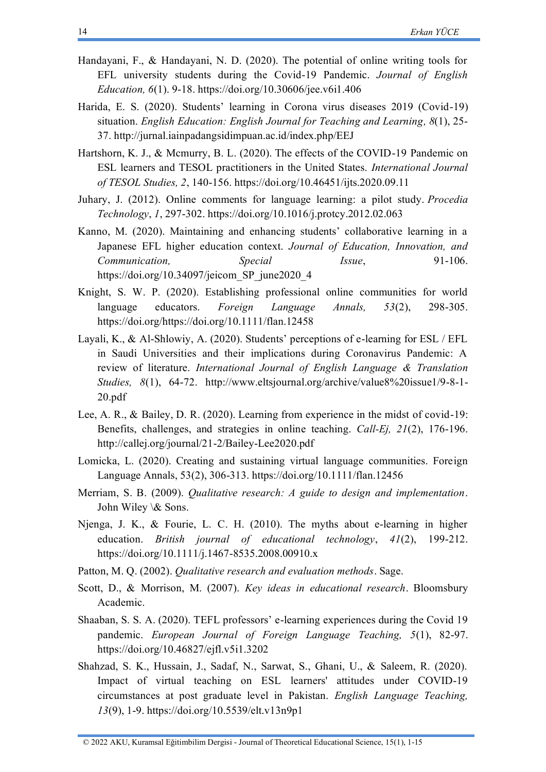- Handayani, F., & Handayani, N. D. (2020). The potential of online writing tools for EFL university students during the Covid-19 Pandemic. *Journal of English Education, 6*(1). 9-18.<https://doi.org/10.30606/jee.v6i1.406>
- Harida, E. S. (2020). Students' learning in Corona virus diseases 2019 (Covid-19) situation. *English Education: English Journal for Teaching and Learning, 8*(1), 25- 37.<http://jurnal.iainpadangsidimpuan.ac.id/index.php/EEJ>
- Hartshorn, K. J., & Mcmurry, B. L. (2020). The effects of the COVID-19 Pandemic on ESL learners and TESOL practitioners in the United States. *International Journal of TESOL Studies, 2*, 140-156.<https://doi.org/10.46451/ijts.2020.09.11>
- Juhary, J. (2012). Online comments for language learning: a pilot study. *Procedia Technology*, *1*, 297-302. <https://doi.org/10.1016/j.protcy.2012.02.063>
- Kanno, M. (2020). Maintaining and enhancing students' collaborative learning in a Japanese EFL higher education context. *Journal of Education, Innovation, and Communication, Special Issue*, 91-106. [https://doi.org/10.34097/jeicom\\_SP\\_june2020\\_4](https://doi.org/10.34097/jeicom_SP_june2020_4)
- Knight, S. W. P. (2020). Establishing professional online communities for world language educators. *Foreign Language Annals, 53*(2), 298-305. [https://doi.org/https://doi.org/10.1111/flan.12458](https://doi.org/https:/doi.org/10.1111/flan.12458)
- Layali, K., & Al-Shlowiy, A. (2020). Students' perceptions of e-learning for ESL / EFL in Saudi Universities and their implications during Coronavirus Pandemic: A review of literature. *International Journal of English Language & Translation Studies, 8*(1), 64-72. [http://www.eltsjournal.org/archive/value8%20issue1/9-8-1-](http://www.eltsjournal.org/archive/value8%20issue1/9-8-1-20.pdf) [20.pdf](http://www.eltsjournal.org/archive/value8%20issue1/9-8-1-20.pdf)
- Lee, A. R., & Bailey, D. R. (2020). Learning from experience in the midst of covid-19: Benefits, challenges, and strategies in online teaching. *Call-Ej, 21*(2), 176-196. <http://callej.org/journal/21-2/Bailey-Lee2020.pdf>
- Lomicka, L. (2020). Creating and sustaining virtual language communities. Foreign Language Annals, 53(2), 306-313.<https://doi.org/10.1111/flan.12456>
- Merriam, S. B. (2009). *Qualitative research: A guide to design and implementation*. John Wiley \& Sons.
- Njenga, J. K., & Fourie, L. C. H. (2010). The myths about e‐learning in higher education. *British journal of educational technology*, *41*(2), 199-212. <https://doi.org/10.1111/j.1467-8535.2008.00910.x>
- Patton, M. Q. (2002). *Qualitative research and evaluation methods*. Sage.
- Scott, D., & Morrison, M. (2007). *Key ideas in educational research*. Bloomsbury Academic.
- Shaaban, S. S. A. (2020). TEFL professors' e-learning experiences during the Covid 19 pandemic. *European Journal of Foreign Language Teaching, 5*(1), 82-97. <https://doi.org/10.46827/ejfl.v5i1.3202>
- Shahzad, S. K., Hussain, J., Sadaf, N., Sarwat, S., Ghani, U., & Saleem, R. (2020). Impact of virtual teaching on ESL learners' attitudes under COVID-19 circumstances at post graduate level in Pakistan. *English Language Teaching, 13*(9), 1-9. <https://doi.org/10.5539/elt.v13n9p1>